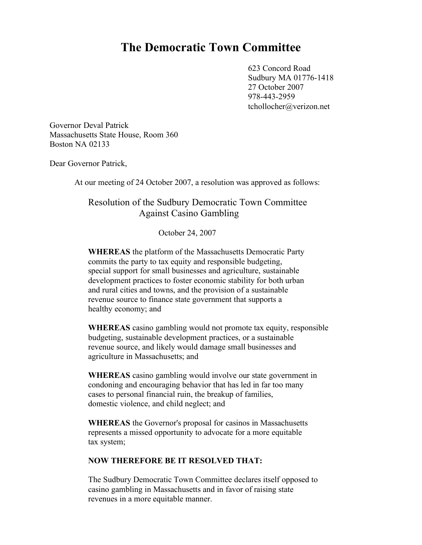## **The Democratic Town Committee**

623 Concord Road Sudbury MA 01776-1418 27 October 2007 978-443-2959 tchollocher@verizon.net

Governor Deval Patrick Massachusetts State House, Room 360 Boston NA 02133

Dear Governor Patrick,

At our meeting of 24 October 2007, a resolution was approved as follows:

## Resolution of the Sudbury Democratic Town Committee Against Casino Gambling

October 24, 2007

**WHEREAS** the platform of the Massachusetts Democratic Party commits the party to tax equity and responsible budgeting, special support for small businesses and agriculture, sustainable development practices to foster economic stability for both urban and rural cities and towns, and the provision of a sustainable revenue source to finance state government that supports a healthy economy; and

**WHEREAS** casino gambling would not promote tax equity, responsible budgeting, sustainable development practices, or a sustainable revenue source, and likely would damage small businesses and agriculture in Massachusetts; and

**WHEREAS** casino gambling would involve our state government in condoning and encouraging behavior that has led in far too many cases to personal financial ruin, the breakup of families, domestic violence, and child neglect; and

**WHEREAS** the Governor's proposal for casinos in Massachusetts represents a missed opportunity to advocate for a more equitable tax system;

## **NOW THEREFORE BE IT RESOLVED THAT:**

The Sudbury Democratic Town Committee declares itself opposed to casino gambling in Massachusetts and in favor of raising state revenues in a more equitable manner.